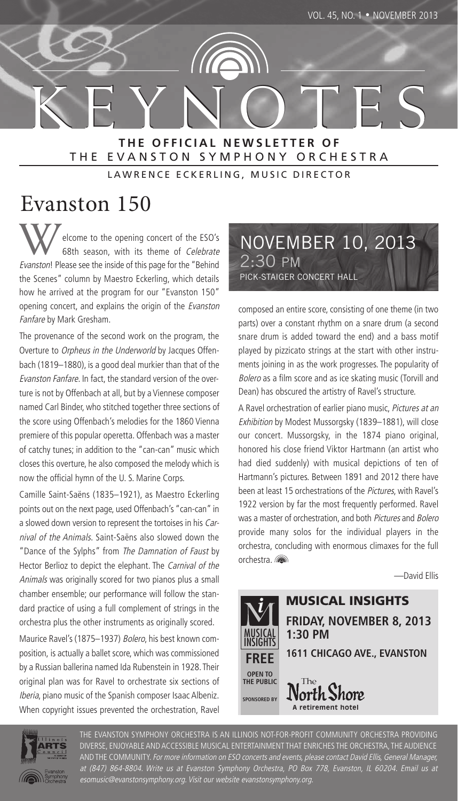KEYNOTES KEYNOTES **THE OFFICIAL NEWSLETTER OF** THE EVANSTON SYMPHONY ORCHESTRA

LAWRENCE ECKERLING, MUSIC DIRECTOR

# Evanston 150

elcome to the opening concert of the ESO's 68th season, with its theme of Celebrate Evanston! Please see the inside of this page for the "Behind the Scenes" column by Maestro Eckerling, which details how he arrived at the program for our "Evanston 150" opening concert, and explains the origin of the Evanston Fanfare by Mark Gresham.

The provenance of the second work on the program, the Overture to Orpheus in the Underworld by Jacques Offenbach (1819–1880), is a good deal murkier than that of the Evanston Fanfare. In fact, the standard version of the overture is not by Offenbach at all, but by a Viennese composer named Carl Binder, who stitched together three sections of the score using Offenbach's melodies for the 1860 Vienna premiere of this popular operetta. Offenbach was a master of catchy tunes; in addition to the "can-can" music which closes this overture, he also composed the melody which is now the official hymn of the U. S. Marine Corps.

Camille Saint-Saëns (1835–1921), as Maestro Eckerling points out on the next page, used Offenbach's "can-can" in a slowed down version to represent the tortoises in his Carnival of the Animals. Saint-Saëns also slowed down the "Dance of the Sylphs" from The Damnation of Faust by Hector Berlioz to depict the elephant. The Carnival of the Animals was originally scored for two pianos plus a small chamber ensemble; our performance will follow the standard practice of using a full complement of strings in the orchestra plus the other instruments as originally scored.

Maurice Ravel's (1875–1937) Bolero, his best known composition, is actually a ballet score, which was commissioned by a Russian ballerina named Ida Rubenstein in 1928. Their original plan was for Ravel to orchestrate six sections of Iberia, piano music of the Spanish composer Isaac Albeniz. When copyright issues prevented the orchestration, Ravel NOVEMBER 10, 2013 2:30 PM PICK-STAIGER CONCERT HALL

composed an entire score, consisting of one theme (in two parts) over a constant rhythm on a snare drum (a second snare drum is added toward the end) and a bass motif played by pizzicato strings at the start with other instruments joining in as the work progresses. The popularity of Bolero as a film score and as ice skating music (Torvill and Dean) has obscured the artistry of Ravel's structure.

A Ravel orchestration of earlier piano music, Pictures at an Exhibition by Modest Mussorgsky (1839–1881), will close our concert. Mussorgsky, in the 1874 piano original, honored his close friend Viktor Hartmann (an artist who had died suddenly) with musical depictions of ten of Hartmann's pictures. Between 1891 and 2012 there have been at least 15 orchestrations of the Pictures, with Ravel's 1922 version by far the most frequently performed. Ravel was a master of orchestration, and both *Pictures* and *Bolero* provide many solos for the individual players in the orchestra, concluding with enormous climaxes for the full orchestra.

—David Ellis





THE EVANSTON SYMPHONY ORCHESTRA IS AN ILLINOIS NOT-FOR-PROFIT COMMUNITY ORCHESTRA PROVIDING DIVERSE, ENJOYABLE AND ACCESSIBLE MUSICAL ENTERTAINMENT THAT ENRICHES THE ORCHESTRA, THE AUDIENCE AND THE COMMUNITY. For more information on ESO concerts and events, please contact David Ellis, General Manager, at (847) 864-8804. Write us at Evanston Symphony Orchestra, PO Box 778, Evanston, IL 60204. Email us at esomusic@evanstonsymphony.org. Visit our website evanstonsymphony.org.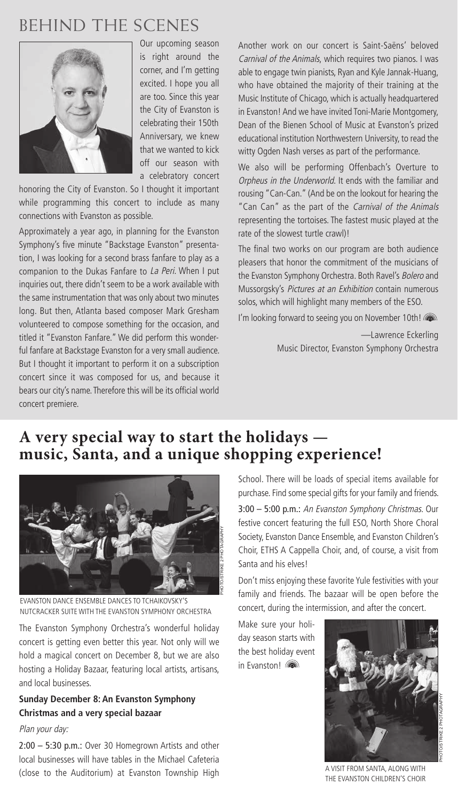# BEHIND THE SCENES



Our upcoming season is right around the corner, and I'm getting excited. I hope you all are too. Since this year the City of Evanston is celebrating their 150th Anniversary, we knew that we wanted to kick off our season with a celebratory concert

honoring the City of Evanston. So I thought it important while programming this concert to include as many connections with Evanston as possible.

Approximately a year ago, in planning for the Evanston Symphony's five minute "Backstage Evanston" presentation, I was looking for a second brass fanfare to play as a companion to the Dukas Fanfare to La Peri. When I put inquiries out, there didn't seem to be a work available with the same instrumentation that was only about two minutes long. But then, Atlanta based composer Mark Gresham volunteered to compose something for the occasion, and titled it "Evanston Fanfare." We did perform this wonderful fanfare at Backstage Evanston for a very small audience. But I thought it important to perform it on a subscription concert since it was composed for us, and because it bears our city's name. Therefore this will be its official world concert premiere.

Another work on our concert is Saint-Saëns' beloved Carnival of the Animals, which requires two pianos. I was able to engage twin pianists, Ryan and Kyle Jannak-Huang, who have obtained the majority of their training at the Music Institute of Chicago, which is actually headquartered in Evanston! And we have invited Toni-Marie Montgomery, Dean of the Bienen School of Music at Evanston's prized educational institution Northwestern University, to read the witty Ogden Nash verses as part of the performance.

We also will be performing Offenbach's Overture to Orpheus in the Underworld. It ends with the familiar and rousing "Can-Can." (And be on the lookout for hearing the "Can Can" as the part of the Carnival of the Animals representing the tortoises. The fastest music played at the rate of the slowest turtle crawl)!

The final two works on our program are both audience pleasers that honor the commitment of the musicians of the Evanston Symphony Orchestra. Both Ravel's Bolero and Mussorgsky's Pictures at an Exhibition contain numerous solos, which will highlight many members of the ESO.

I'm looking forward to seeing you on November 10th!

—Lawrence Eckerling Music Director, Evanston Symphony Orchestra

### **A very special way to start the holidays music, Santa, and a unique shopping experience!**



EVANSTON DANCE ENSEMBLE DANCES TO TCHAIKOVSKY'S NUTCRACKER SUITE WITH THE EVANSTON SYMPHONY ORCHESTRA

The Evanston Symphony Orchestra's wonderful holiday concert is getting even better this year. Not only will we hold a magical concert on December 8, but we are also hosting a Holiday Bazaar, featuring local artists, artisans, and local businesses.

#### **Sunday December 8: An Evanston Symphony Christmas and a very special bazaar**

#### Plan your day:

2:00 – 5:30 p.m.: Over 30 Homegrown Artists and other local businesses will have tables in the Michael Cafeteria (close to the Auditorium) at Evanston Township High School. There will be loads of special items available for purchase. Find some special gifts for your family and friends.

3:00 – 5:00 p.m.: An Evanston Symphony Christmas. Our festive concert featuring the full ESO, North Shore Choral Society, Evanston Dance Ensemble, and Evanston Children's Choir, ETHS A Cappella Choir, and, of course, a visit from Santa and his elves!

Don't miss enjoying these favorite Yule festivities with your family and friends. The bazaar will be open before the concert, during the intermission, and after the concert.

Make sure your holiday season starts with the best holiday event in Evanston!



A VISIT FROM SANTA, ALONG WITH THE EVANSTON CHILDREN'S CHOIR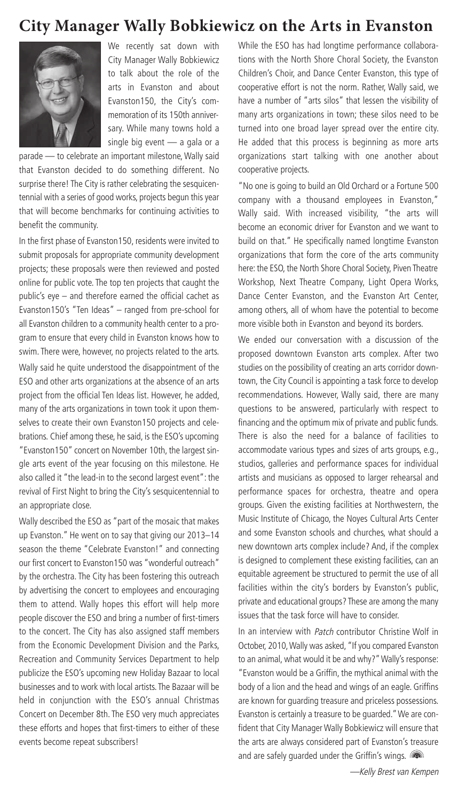#### **City Manager Wally Bobkiewicz on the Arts in Evanston**



We recently sat down with City Manager Wally Bobkiewicz to talk about the role of the arts in Evanston and about Evanston150, the City's commemoration of its 150th anniversary. While many towns hold a single big event - a gala or a

parade — to celebrate an important milestone, Wally said that Evanston decided to do something different. No surprise there! The City is rather celebrating the sesquicentennial with a series of good works, projects begun this year that will become benchmarks for continuing activities to benefit the community.

In the first phase of Evanston150, residents were invited to submit proposals for appropriate community development projects; these proposals were then reviewed and posted online for public vote. The top ten projects that caught the public's eye – and therefore earned the official cachet as Evanston150's "Ten Ideas" – ranged from pre-school for all Evanston children to a community health center to a program to ensure that every child in Evanston knows how to swim. There were, however, no projects related to the arts.

Wally said he quite understood the disappointment of the ESO and other arts organizations at the absence of an arts project from the official Ten Ideas list. However, he added, many of the arts organizations in town took it upon themselves to create their own Evanston150 projects and celebrations. Chief among these, he said, is the ESO's upcoming "Evanston150" concert on November 10th, the largest single arts event of the year focusing on this milestone. He also called it "the lead-in to the second largest event": the revival of First Night to bring the City's sesquicentennial to an appropriate close.

Wally described the ESO as "part of the mosaic that makes up Evanston." He went on to say that giving our 2013–14 season the theme "Celebrate Evanston!" and connecting our first concert to Evanston150 was "wonderful outreach" by the orchestra. The City has been fostering this outreach by advertising the concert to employees and encouraging them to attend. Wally hopes this effort will help more people discover the ESO and bring a number of first-timers to the concert. The City has also assigned staff members from the Economic Development Division and the Parks, Recreation and Community Services Department to help publicize the ESO's upcoming new Holiday Bazaar to local businesses and to work with local artists. The Bazaar will be held in conjunction with the ESO's annual Christmas Concert on December 8th. The ESO very much appreciates these efforts and hopes that first-timers to either of these events become repeat subscribers!

While the ESO has had longtime performance collaborations with the North Shore Choral Society, the Evanston Children's Choir, and Dance Center Evanston, this type of cooperative effort is not the norm. Rather, Wally said, we have a number of "arts silos" that lessen the visibility of many arts organizations in town; these silos need to be turned into one broad layer spread over the entire city. He added that this process is beginning as more arts organizations start talking with one another about cooperative projects.

"No one is going to build an Old Orchard or a Fortune 500 company with a thousand employees in Evanston," Wally said. With increased visibility, "the arts will become an economic driver for Evanston and we want to build on that." He specifically named longtime Evanston organizations that form the core of the arts community here: the ESO, the North Shore Choral Society, Piven Theatre Workshop, Next Theatre Company, Light Opera Works, Dance Center Evanston, and the Evanston Art Center, among others, all of whom have the potential to become more visible both in Evanston and beyond its borders.

We ended our conversation with a discussion of the proposed downtown Evanston arts complex. After two studies on the possibility of creating an arts corridor downtown, the City Council is appointing a task force to develop recommendations. However, Wally said, there are many questions to be answered, particularly with respect to financing and the optimum mix of private and public funds. There is also the need for a balance of facilities to accommodate various types and sizes of arts groups, e.g., studios, galleries and performance spaces for individual artists and musicians as opposed to larger rehearsal and performance spaces for orchestra, theatre and opera groups. Given the existing facilities at Northwestern, the Music Institute of Chicago, the Noyes Cultural Arts Center and some Evanston schools and churches, what should a new downtown arts complex include? And, if the complex is designed to complement these existing facilities, can an equitable agreement be structured to permit the use of all facilities within the city's borders by Evanston's public, private and educational groups? These are among the many issues that the task force will have to consider.

In an interview with Patch contributor Christine Wolf in October, 2010, Wally was asked, "If you compared Evanston to an animal, what would it be and why?" Wally's response: "Evanston would be a Griffin, the mythical animal with the body of a lion and the head and wings of an eagle. Griffins are known for guarding treasure and priceless possessions. Evanston is certainly a treasure to be guarded." We are confident that City Manager Wally Bobkiewicz will ensure that the arts are always considered part of Evanston's treasure and are safely quarded under the Griffin's wings.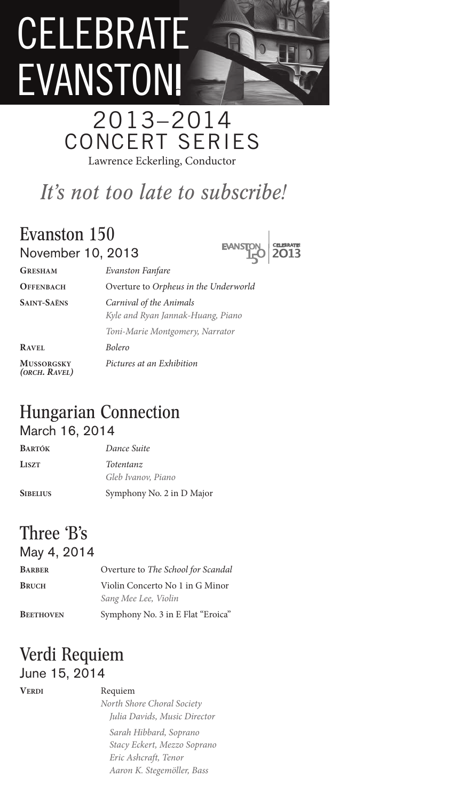# CELEBRATE EVANSTON

# 2013–2014 CONCERT SERIES Lawrence Eckerling, Conductor

# *It's not too late to subscribe!*

### Evanston 150 November 10, 2013

EVANSTON CELEBRATE

| <b>GRESHAM</b>                     | Evanston Fanfare                                             |
|------------------------------------|--------------------------------------------------------------|
| <b>OFFENBACH</b>                   | Overture to Orpheus in the Underworld                        |
| <b>SAINT-SAËNS</b>                 | Carnival of the Animals<br>Kyle and Ryan Jannak-Huang, Piano |
|                                    | Toni-Marie Montgomery, Narrator                              |
| <b>RAVEL</b>                       | <b>Bolero</b>                                                |
| <b>MUSSORGSKY</b><br>(ORCH. RAVEL) | Pictures at an Exhibition                                    |

### Hungarian Connection March 16, 2014

| <b>BARTÓK</b>   | Dance Suite               |
|-----------------|---------------------------|
| LISZT           | Totentanz                 |
|                 | Gleb Ivanov, Piano        |
| <b>SIBELIUS</b> | Symphony No. 2 in D Major |

#### Three 'B's May 4, 2014

| Overture to The School for Scandal                      |
|---------------------------------------------------------|
| Violin Concerto No 1 in G Minor<br>Sang Mee Lee, Violin |
| Symphony No. 3 in E Flat "Eroica"                       |
|                                                         |

### Verdi Requiem June 15, 2014

#### **VERDI** Requiem

*North Shore Choral Society Julia Davids, Music Director Sarah Hibbard, Soprano Stacy Eckert, Mezzo Soprano Eric Ashcraft, Tenor Aaron K. Stegemöller, Bass*